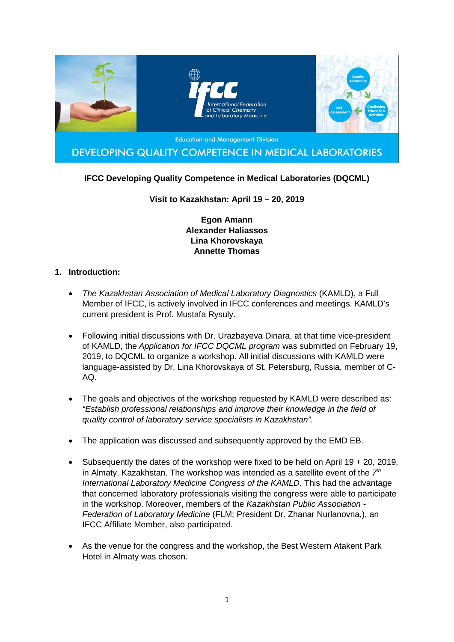

## **IFCC Developing Quality Competence in Medical Laboratories (DQCML)**

### **Visit to Kazakhstan: April 19 – 20, 2019**

**Egon Amann Alexander Haliassos Lina Khorovskaya Annette Thomas**

### **1. Introduction:**

- *The Kazakhstan Association of Medical Laboratory Diagnostics* (KAMLD), a Full Member of IFCC, is actively involved in IFCC conferences and meetings. KAMLD's current president is Prof. Mustafa Rysuly.
- Following initial discussions with Dr. Urazbayeva Dinara, at that time vice-president of KAMLD, the *Application for IFCC DQCML program* was submitted on February 19, 2019, to DQCML to organize a workshop. All initial discussions with KAMLD were language-assisted by Dr. Lina Khorovskaya of St. Petersburg, Russia, member of C-AQ.
- The goals and objectives of the workshop requested by KAMLD were described as: *"Establish professional relationships and improve their knowledge in the field of quality control of laboratory service specialists in Kazakhstan"*.
- The application was discussed and subsequently approved by the EMD EB.
- Subsequently the dates of the workshop were fixed to be held on April 19 + 20, 2019, in Almaty, Kazakhstan. The workshop was intended as a satellite event of the *7th International Laboratory Medicine Congress of the KAMLD.* This had the advantage that concerned laboratory professionals visiting the congress were able to participate in the workshop. Moreover, members of the *Kazakhstan Public Association - Federation of Laboratory Medicine* (FLM; President Dr. Zhanar Nurlanovna,), an IFCC Affiliate Member, also participated.
- As the venue for the congress and the workshop, the Best Western Atakent Park Hotel in Almaty was chosen.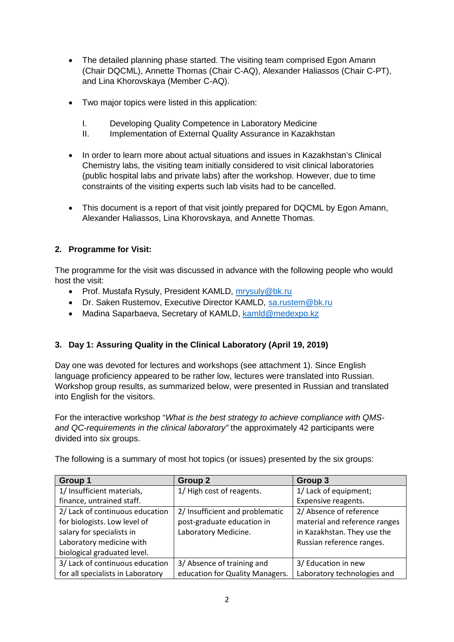- The detailed planning phase started. The visiting team comprised Egon Amann (Chair DQCML), Annette Thomas (Chair C-AQ), Alexander Haliassos (Chair C-PT), and Lina Khorovskaya (Member C-AQ).
- Two major topics were listed in this application:
	- I. Developing Quality Competence in Laboratory Medicine
	- II. Implementation of External Quality Assurance in Kazakhstan
- In order to learn more about actual situations and issues in Kazakhstan's Clinical Chemistry labs, the visiting team initially considered to visit clinical laboratories (public hospital labs and private labs) after the workshop. However, due to time constraints of the visiting experts such lab visits had to be cancelled.
- This document is a report of that visit jointly prepared for DQCML by Egon Amann, Alexander Haliassos, Lina Khorovskaya, and Annette Thomas.

## **2. Programme for Visit:**

The programme for the visit was discussed in advance with the following people who would host the visit:

- Prof. Mustafa Rysuly, President KAMLD, mrysuly@bk.ru
- Dr. Saken Rustemov, Executive Director KAMLD, [sa.rustem@bk.ru](mailto:sa.rustem@bk.ru)
- Madina Saparbaeva, Secretary of KAMLD, [kamld@medexpo.kz](mailto:kamld@medexpo.kz)

# **3. Day 1: Assuring Quality in the Clinical Laboratory (April 19, 2019)**

Day one was devoted for lectures and workshops (see attachment 1). Since English language proficiency appeared to be rather low, lectures were translated into Russian. Workshop group results, as summarized below, were presented in Russian and translated into English for the visitors.

For the interactive workshop "*What is the best strategy to achieve compliance with QMSand QC-requirements in the clinical laboratory"* the approximately 42 participants were divided into six groups.

| <b>Group 1</b>                    | <b>Group 2</b>                  | Group 3                       |
|-----------------------------------|---------------------------------|-------------------------------|
| 1/ Insufficient materials,        | 1/ High cost of reagents.       | 1/ Lack of equipment;         |
| finance, untrained staff.         |                                 | Expensive reagents.           |
| 2/ Lack of continuous education   | 2/ Insufficient and problematic | 2/ Absence of reference       |
| for biologists. Low level of      | post-graduate education in      | material and reference ranges |
| salary for specialists in         | Laboratory Medicine.            | in Kazakhstan. They use the   |
| Laboratory medicine with          |                                 | Russian reference ranges.     |
| biological graduated level.       |                                 |                               |
| 3/ Lack of continuous education   | 3/ Absence of training and      | 3/ Education in new           |
| for all specialists in Laboratory | education for Quality Managers. | Laboratory technologies and   |

The following is a summary of most hot topics (or issues) presented by the six groups: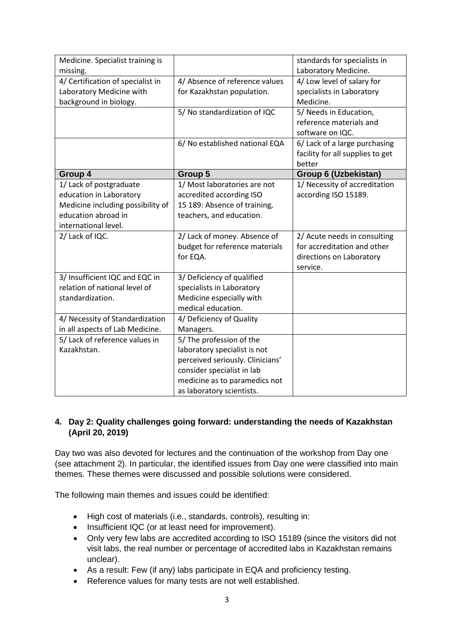| Medicine. Specialist training is<br>missing. |                                  | standards for specialists in<br>Laboratory Medicine. |
|----------------------------------------------|----------------------------------|------------------------------------------------------|
| 4/ Certification of specialist in            | 4/ Absence of reference values   | 4/ Low level of salary for                           |
| Laboratory Medicine with                     | for Kazakhstan population.       | specialists in Laboratory                            |
| background in biology.                       |                                  | Medicine.                                            |
|                                              | 5/ No standardization of IQC     | 5/ Needs in Education,                               |
|                                              |                                  | reference materials and                              |
|                                              |                                  | software on IQC.                                     |
|                                              | 6/ No established national EQA   | 6/ Lack of a large purchasing                        |
|                                              |                                  | facility for all supplies to get                     |
|                                              |                                  | better                                               |
| Group 4                                      | Group 5                          | Group 6 (Uzbekistan)                                 |
| 1/ Lack of postgraduate                      | 1/ Most laboratories are not     | 1/ Necessity of accreditation                        |
| education in Laboratory                      | accredited according ISO         | according ISO 15189.                                 |
| Medicine including possibility of            | 15 189: Absence of training,     |                                                      |
| education abroad in                          | teachers, and education.         |                                                      |
| international level.                         |                                  |                                                      |
| 2/ Lack of IQC.                              | 2/ Lack of money. Absence of     | 2/ Acute needs in consulting                         |
|                                              | budget for reference materials   | for accreditation and other                          |
|                                              | for EQA.                         | directions on Laboratory                             |
|                                              |                                  | service.                                             |
| 3/ Insufficient IQC and EQC in               | 3/ Deficiency of qualified       |                                                      |
| relation of national level of                | specialists in Laboratory        |                                                      |
| standardization.                             | Medicine especially with         |                                                      |
|                                              | medical education.               |                                                      |
| 4/ Necessity of Standardization              | 4/ Deficiency of Quality         |                                                      |
| in all aspects of Lab Medicine.              | Managers.                        |                                                      |
| 5/ Lack of reference values in               | 5/ The profession of the         |                                                      |
| Kazakhstan.                                  | laboratory specialist is not     |                                                      |
|                                              | perceived seriously. Clinicians' |                                                      |
|                                              | consider specialist in lab       |                                                      |
|                                              | medicine as to paramedics not    |                                                      |
|                                              | as laboratory scientists.        |                                                      |

### **4. Day 2: Quality challenges going forward: understanding the needs of Kazakhstan (April 20, 2019)**

Day two was also devoted for lectures and the continuation of the workshop from Day one (see attachment 2). In particular, the identified issues from Day one were classified into main themes. These themes were discussed and possible solutions were considered.

The following main themes and issues could be identified:

- High cost of materials (i.e., standards, controls), resulting in:
- Insufficient IQC (or at least need for improvement).
- Only very few labs are accredited according to ISO 15189 (since the visitors did not visit labs, the real number or percentage of accredited labs in Kazakhstan remains unclear).
- As a result: Few (if any) labs participate in EQA and proficiency testing.
- Reference values for many tests are not well established.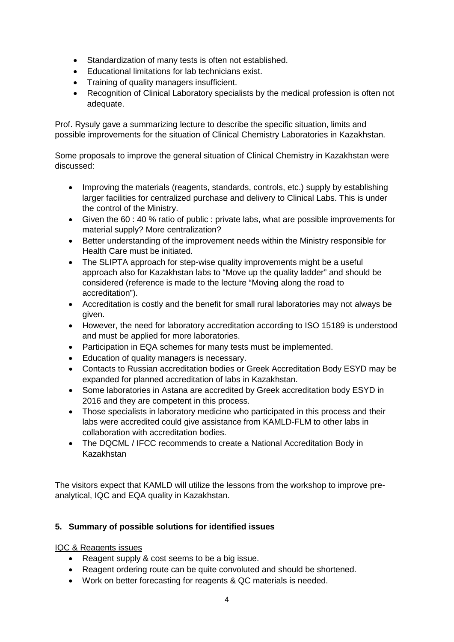- Standardization of many tests is often not established.
- Educational limitations for lab technicians exist.
- Training of quality managers insufficient.
- Recognition of Clinical Laboratory specialists by the medical profession is often not adequate.

Prof. Rysuly gave a summarizing lecture to describe the specific situation, limits and possible improvements for the situation of Clinical Chemistry Laboratories in Kazakhstan.

Some proposals to improve the general situation of Clinical Chemistry in Kazakhstan were discussed:

- Improving the materials (reagents, standards, controls, etc.) supply by establishing larger facilities for centralized purchase and delivery to Clinical Labs. This is under the control of the Ministry.
- Given the 60 : 40 % ratio of public : private labs, what are possible improvements for material supply? More centralization?
- Better understanding of the improvement needs within the Ministry responsible for Health Care must be initiated.
- The SLIPTA approach for step-wise quality improvements might be a useful approach also for Kazakhstan labs to "Move up the quality ladder" and should be considered (reference is made to the lecture "Moving along the road to accreditation").
- Accreditation is costly and the benefit for small rural laboratories may not always be given.
- However, the need for laboratory accreditation according to ISO 15189 is understood and must be applied for more laboratories.
- Participation in EQA schemes for many tests must be implemented.
- Education of quality managers is necessary.
- Contacts to Russian accreditation bodies or Greek Accreditation Body ESYD may be expanded for planned accreditation of labs in Kazakhstan.
- Some laboratories in Astana are accredited by Greek accreditation body ESYD in 2016 and they are competent in this process.
- Those specialists in laboratory medicine who participated in this process and their labs were accredited could give assistance from KAMLD-FLM to other labs in collaboration with accreditation bodies.
- The DQCML / IFCC recommends to create a National Accreditation Body in Kazakhstan

The visitors expect that KAMLD will utilize the lessons from the workshop to improve preanalytical, IQC and EQA quality in Kazakhstan.

# **5. Summary of possible solutions for identified issues**

IQC & Reagents issues

- Reagent supply & cost seems to be a big issue.
- Reagent ordering route can be quite convoluted and should be shortened.
- Work on better forecasting for reagents & QC materials is needed.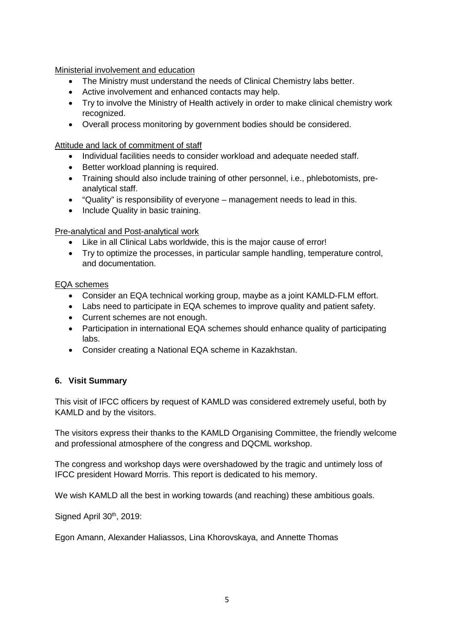Ministerial involvement and education

- The Ministry must understand the needs of Clinical Chemistry labs better.
- Active involvement and enhanced contacts may help.
- Try to involve the Ministry of Health actively in order to make clinical chemistry work recognized.
- Overall process monitoring by government bodies should be considered.

Attitude and lack of commitment of staff

- Individual facilities needs to consider workload and adequate needed staff.
- Better workload planning is required.
- Training should also include training of other personnel, i.e., phlebotomists, preanalytical staff.
- "Quality" is responsibility of everyone management needs to lead in this.
- Include Quality in basic training.

Pre-analytical and Post-analytical work

- Like in all Clinical Labs worldwide, this is the major cause of error!
- Try to optimize the processes, in particular sample handling, temperature control, and documentation.

#### EQA schemes

- Consider an EQA technical working group, maybe as a joint KAMLD-FLM effort.
- Labs need to participate in EQA schemes to improve quality and patient safety.
- Current schemes are not enough.
- Participation in international EQA schemes should enhance quality of participating labs.
- Consider creating a National EQA scheme in Kazakhstan.

### **6. Visit Summary**

This visit of IFCC officers by request of KAMLD was considered extremely useful, both by KAMLD and by the visitors.

The visitors express their thanks to the KAMLD Organising Committee, the friendly welcome and professional atmosphere of the congress and DQCML workshop.

The congress and workshop days were overshadowed by the tragic and untimely loss of IFCC president Howard Morris. This report is dedicated to his memory.

We wish KAMLD all the best in working towards (and reaching) these ambitious goals.

Signed April 30<sup>th</sup>, 2019:

Egon Amann, Alexander Haliassos, Lina Khorovskaya, and Annette Thomas